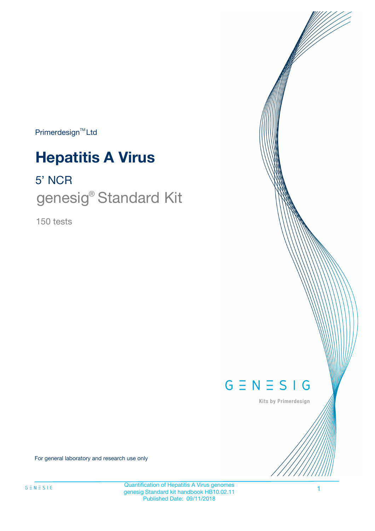Primerdesign<sup>™</sup>Ltd

# **Hepatitis A Virus**

5' NCR

genesig<sup>®</sup> Standard Kit

150 tests



Kits by Primerdesign

For general laboratory and research use only

Quantification of Hepatitis A Virus genomes genesig Standard kit handbook HB10.02.11 Published Date: 09/11/2018

1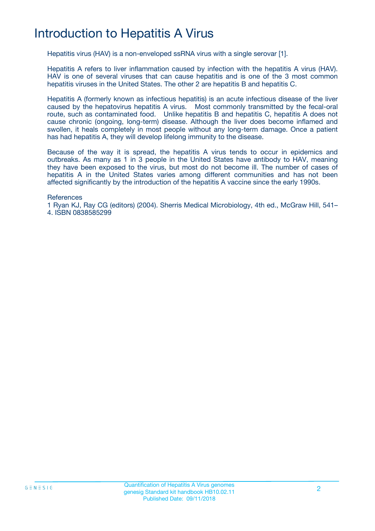## Introduction to Hepatitis A Virus

Hepatitis virus (HAV) is a non-enveloped ssRNA virus with a single serovar [1].

Hepatitis A refers to liver inflammation caused by infection with the hepatitis A virus (HAV). HAV is one of several viruses that can cause hepatitis and is one of the 3 most common hepatitis viruses in the United States. The other 2 are hepatitis B and hepatitis C.

Hepatitis A (formerly known as infectious hepatitis) is an acute infectious disease of the liver caused by the hepatovirus hepatitis A virus. Most commonly transmitted by the fecal-oral route, such as contaminated food. Unlike hepatitis B and hepatitis C, hepatitis A does not cause chronic (ongoing, long-term) disease. Although the liver does become inflamed and swollen, it heals completely in most people without any long-term damage. Once a patient has had hepatitis A, they will develop lifelong immunity to the disease.

Because of the way it is spread, the hepatitis A virus tends to occur in epidemics and outbreaks. As many as 1 in 3 people in the United States have antibody to HAV, meaning they have been exposed to the virus, but most do not become ill. The number of cases of hepatitis A in the United States varies among different communities and has not been affected significantly by the introduction of the hepatitis A vaccine since the early 1990s.

**References** 

1 Ryan KJ, Ray CG (editors) (2004). Sherris Medical Microbiology, 4th ed., McGraw Hill, 541– 4. ISBN 0838585299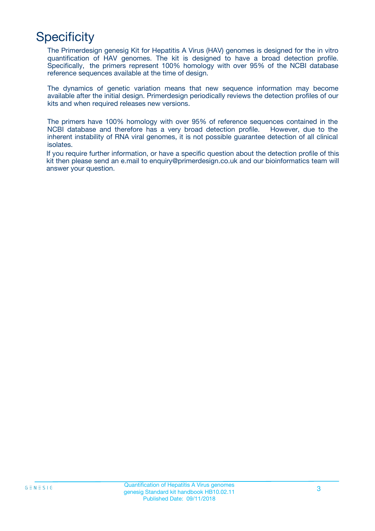## **Specificity**

The Primerdesign genesig Kit for Hepatitis A Virus (HAV) genomes is designed for the in vitro quantification of HAV genomes. The kit is designed to have a broad detection profile. Specifically, the primers represent 100% homology with over 95% of the NCBI database reference sequences available at the time of design.

The dynamics of genetic variation means that new sequence information may become available after the initial design. Primerdesign periodically reviews the detection profiles of our kits and when required releases new versions.

The primers have 100% homology with over 95% of reference sequences contained in the NCBI database and therefore has a very broad detection profile. However, due to the inherent instability of RNA viral genomes, it is not possible guarantee detection of all clinical isolates.

If you require further information, or have a specific question about the detection profile of this kit then please send an e.mail to enquiry@primerdesign.co.uk and our bioinformatics team will answer your question.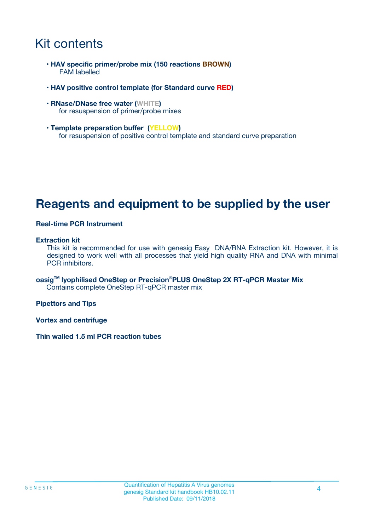### Kit contents

- **HAV specific primer/probe mix (150 reactions BROWN)** FAM labelled
- **HAV positive control template (for Standard curve RED)**
- **RNase/DNase free water (WHITE)** for resuspension of primer/probe mixes
- **Template preparation buffer (YELLOW)** for resuspension of positive control template and standard curve preparation

### **Reagents and equipment to be supplied by the user**

#### **Real-time PCR Instrument**

#### **Extraction kit**

This kit is recommended for use with genesig Easy DNA/RNA Extraction kit. However, it is designed to work well with all processes that yield high quality RNA and DNA with minimal PCR inhibitors.

**oasigTM lyophilised OneStep or Precision**®**PLUS OneStep 2X RT-qPCR Master Mix** Contains complete OneStep RT-qPCR master mix

**Pipettors and Tips**

**Vortex and centrifuge**

**Thin walled 1.5 ml PCR reaction tubes**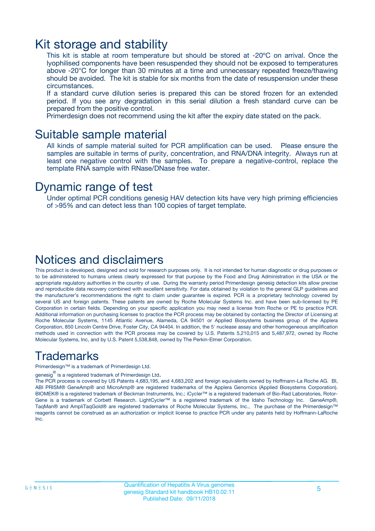### Kit storage and stability

This kit is stable at room temperature but should be stored at -20ºC on arrival. Once the lyophilised components have been resuspended they should not be exposed to temperatures above -20°C for longer than 30 minutes at a time and unnecessary repeated freeze/thawing should be avoided. The kit is stable for six months from the date of resuspension under these circumstances.

If a standard curve dilution series is prepared this can be stored frozen for an extended period. If you see any degradation in this serial dilution a fresh standard curve can be prepared from the positive control.

Primerdesign does not recommend using the kit after the expiry date stated on the pack.

### Suitable sample material

All kinds of sample material suited for PCR amplification can be used. Please ensure the samples are suitable in terms of purity, concentration, and RNA/DNA integrity. Always run at least one negative control with the samples. To prepare a negative-control, replace the template RNA sample with RNase/DNase free water.

### Dynamic range of test

Under optimal PCR conditions genesig HAV detection kits have very high priming efficiencies of >95% and can detect less than 100 copies of target template.

### Notices and disclaimers

This product is developed, designed and sold for research purposes only. It is not intended for human diagnostic or drug purposes or to be administered to humans unless clearly expressed for that purpose by the Food and Drug Administration in the USA or the appropriate regulatory authorities in the country of use. During the warranty period Primerdesign genesig detection kits allow precise and reproducible data recovery combined with excellent sensitivity. For data obtained by violation to the general GLP guidelines and the manufacturer's recommendations the right to claim under guarantee is expired. PCR is a proprietary technology covered by several US and foreign patents. These patents are owned by Roche Molecular Systems Inc. and have been sub-licensed by PE Corporation in certain fields. Depending on your specific application you may need a license from Roche or PE to practice PCR. Additional information on purchasing licenses to practice the PCR process may be obtained by contacting the Director of Licensing at Roche Molecular Systems, 1145 Atlantic Avenue, Alameda, CA 94501 or Applied Biosystems business group of the Applera Corporation, 850 Lincoln Centre Drive, Foster City, CA 94404. In addition, the 5' nuclease assay and other homogeneous amplification methods used in connection with the PCR process may be covered by U.S. Patents 5,210,015 and 5,487,972, owned by Roche Molecular Systems, Inc, and by U.S. Patent 5,538,848, owned by The Perkin-Elmer Corporation.

### Trademarks

Primerdesign™ is a trademark of Primerdesign Ltd.

genesig $^\circledR$  is a registered trademark of Primerdesign Ltd.

The PCR process is covered by US Patents 4,683,195, and 4,683,202 and foreign equivalents owned by Hoffmann-La Roche AG. BI, ABI PRISM® GeneAmp® and MicroAmp® are registered trademarks of the Applera Genomics (Applied Biosystems Corporation). BIOMEK® is a registered trademark of Beckman Instruments, Inc.; iCycler™ is a registered trademark of Bio-Rad Laboratories, Rotor-Gene is a trademark of Corbett Research. LightCycler™ is a registered trademark of the Idaho Technology Inc. GeneAmp®, TaqMan® and AmpliTaqGold® are registered trademarks of Roche Molecular Systems, Inc., The purchase of the Primerdesign™ reagents cannot be construed as an authorization or implicit license to practice PCR under any patents held by Hoffmann-LaRoche Inc.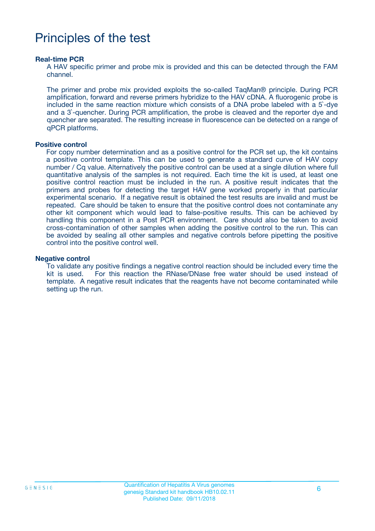## Principles of the test

#### **Real-time PCR**

A HAV specific primer and probe mix is provided and this can be detected through the FAM channel.

The primer and probe mix provided exploits the so-called TaqMan® principle. During PCR amplification, forward and reverse primers hybridize to the HAV cDNA. A fluorogenic probe is included in the same reaction mixture which consists of a DNA probe labeled with a 5`-dye and a 3`-quencher. During PCR amplification, the probe is cleaved and the reporter dye and quencher are separated. The resulting increase in fluorescence can be detected on a range of qPCR platforms.

#### **Positive control**

For copy number determination and as a positive control for the PCR set up, the kit contains a positive control template. This can be used to generate a standard curve of HAV copy number / Cq value. Alternatively the positive control can be used at a single dilution where full quantitative analysis of the samples is not required. Each time the kit is used, at least one positive control reaction must be included in the run. A positive result indicates that the primers and probes for detecting the target HAV gene worked properly in that particular experimental scenario. If a negative result is obtained the test results are invalid and must be repeated. Care should be taken to ensure that the positive control does not contaminate any other kit component which would lead to false-positive results. This can be achieved by handling this component in a Post PCR environment. Care should also be taken to avoid cross-contamination of other samples when adding the positive control to the run. This can be avoided by sealing all other samples and negative controls before pipetting the positive control into the positive control well.

#### **Negative control**

To validate any positive findings a negative control reaction should be included every time the kit is used. For this reaction the RNase/DNase free water should be used instead of template. A negative result indicates that the reagents have not become contaminated while setting up the run.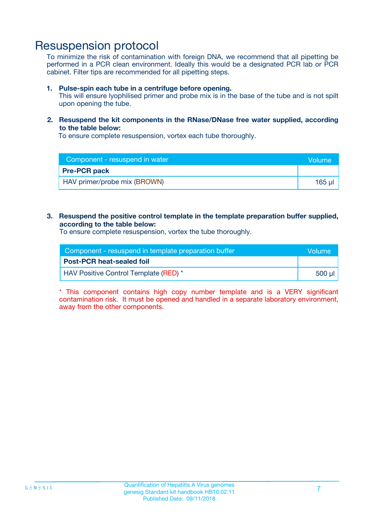### Resuspension protocol

To minimize the risk of contamination with foreign DNA, we recommend that all pipetting be performed in a PCR clean environment. Ideally this would be a designated PCR lab or PCR cabinet. Filter tips are recommended for all pipetting steps.

#### **1. Pulse-spin each tube in a centrifuge before opening.**

This will ensure lyophilised primer and probe mix is in the base of the tube and is not spilt upon opening the tube.

#### **2. Resuspend the kit components in the RNase/DNase free water supplied, according to the table below:**

To ensure complete resuspension, vortex each tube thoroughly.

| Component - resuspend in water | <b>Nolume</b> |
|--------------------------------|---------------|
| <b>Pre-PCR pack</b>            |               |
| HAV primer/probe mix (BROWN)   | $165$ µ       |

#### **3. Resuspend the positive control template in the template preparation buffer supplied, according to the table below:**

To ensure complete resuspension, vortex the tube thoroughly.

| Component - resuspend in template preparation buffer |        |
|------------------------------------------------------|--------|
| <b>Post-PCR heat-sealed foil</b>                     |        |
| HAV Positive Control Template (RED) *                | 500 µl |

\* This component contains high copy number template and is a VERY significant contamination risk. It must be opened and handled in a separate laboratory environment, away from the other components.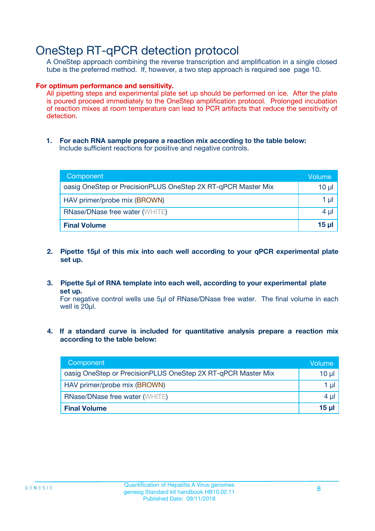### OneStep RT-qPCR detection protocol

A OneStep approach combining the reverse transcription and amplification in a single closed tube is the preferred method. If, however, a two step approach is required see page 10.

#### **For optimum performance and sensitivity.**

All pipetting steps and experimental plate set up should be performed on ice. After the plate is poured proceed immediately to the OneStep amplification protocol. Prolonged incubation of reaction mixes at room temperature can lead to PCR artifacts that reduce the sensitivity of detection.

**1. For each RNA sample prepare a reaction mix according to the table below:** Include sufficient reactions for positive and negative controls.

| Component                                                    | <b>Volume</b> |
|--------------------------------------------------------------|---------------|
| oasig OneStep or PrecisionPLUS OneStep 2X RT-qPCR Master Mix | 10 µl         |
| HAV primer/probe mix (BROWN)                                 | 1 µI          |
| <b>RNase/DNase free water (WHITE)</b>                        | 4 µl          |
| <b>Final Volume</b>                                          | <u>15 µl</u>  |

- **2. Pipette 15µl of this mix into each well according to your qPCR experimental plate set up.**
- **3. Pipette 5µl of RNA template into each well, according to your experimental plate set up.**

For negative control wells use 5µl of RNase/DNase free water. The final volume in each well is 20ul.

**4. If a standard curve is included for quantitative analysis prepare a reaction mix according to the table below:**

| Component                                                    | Volume |
|--------------------------------------------------------------|--------|
| oasig OneStep or PrecisionPLUS OneStep 2X RT-qPCR Master Mix | 10 µl  |
| HAV primer/probe mix (BROWN)                                 | 1 µl   |
| <b>RNase/DNase free water (WHITE)</b>                        | 4 µl   |
| <b>Final Volume</b>                                          | 15 µl  |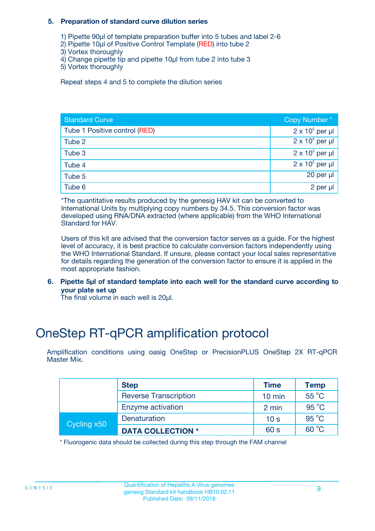#### **5. Preparation of standard curve dilution series**

- 1) Pipette 90µl of template preparation buffer into 5 tubes and label 2-6
- 2) Pipette 10µl of Positive Control Template (RED) into tube 2
- 3) Vortex thoroughly
- 4) Change pipette tip and pipette 10µl from tube 2 into tube 3
- 5) Vortex thoroughly

Repeat steps 4 and 5 to complete the dilution series

| <b>Standard Curve</b>         | Copy Number*           |
|-------------------------------|------------------------|
| Tube 1 Positive control (RED) | $2 \times 10^5$ per µl |
| Tube 2                        | $2 \times 10^4$ per µl |
| Tube 3                        | $2 \times 10^3$ per µl |
| Tube 4                        | $2 \times 10^2$ per µl |
| Tube 5                        | 20 per µl              |
| Tube 6                        | 2 per µl               |

\*The quantitative results produced by the genesig HAV kit can be converted to International Units by multiplying copy numbers by 34.5. This conversion factor was developed using RNA/DNA extracted (where applicable) from the WHO International Standard for HAV.

Users of this kit are advised that the conversion factor serves as a guide. For the highest level of accuracy, it is best practice to calculate conversion factors independently using the WHO International Standard. If unsure, please contact your local sales representative for details regarding the generation of the conversion factor to ensure it is applied in the most appropriate fashion.

**6. Pipette 5µl of standard template into each well for the standard curve according to your plate set up**

The final volume in each well is 20ul.

## OneStep RT-qPCR amplification protocol

Amplification conditions using oasig OneStep or PrecisionPLUS OneStep 2X RT-qPCR Master Mix.

|             | <b>Step</b>                  | <b>Time</b>      | <b>Temp</b>    |
|-------------|------------------------------|------------------|----------------|
|             | <b>Reverse Transcription</b> | $10 \text{ min}$ | 55 °C          |
|             | Enzyme activation            | 2 min            | $95^{\circ}$ C |
| Cycling x50 | Denaturation                 | 10 <sub>s</sub>  | $95^{\circ}$ C |
|             | <b>DATA COLLECTION *</b>     | 60 s             | $60^{\circ}$ C |

\* Fluorogenic data should be collected during this step through the FAM channel